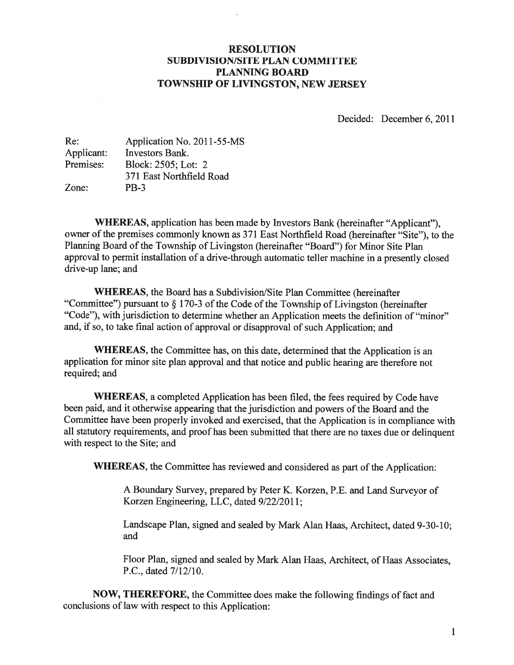#### RESOLUTION SUBDIVISION/SITE PLAN COMMITTEE PLANNING BOARD TOWNSHIP OF LIVINGSTON, NEW JERSEY

Decided: December 6, 2011

| Application No. 2011-55-MS |
|----------------------------|
| <b>Investors Bank.</b>     |
| Block: 2505; Lot: 2        |
| 371 East Northfield Road   |
| <b>PB-3</b>                |
|                            |

WHEREAS, application has been made by Investors Bank (hereinafter "Applicant"), owner of the premises commonly known as 371 East Northfield Road (hereinafter "Site"), to the Planning Board of the Township of Livingston (hereinafter "Board") for Minor Site Plan approva<sup>l</sup> to permit installation of <sup>a</sup> drive-through automatic teller machine in <sup>a</sup> presently closed drive-up lane; and

WHEREAS, the Board has a Subdivision/Site Plan Committee (hereinafter "Committee") pursuant to  $\S 170-3$  of the Code of the Township of Livingston (hereinafter "Code"), with jurisdiction to determine whether an Application meets the definition of "minor" and, if so, to take final action of approva<sup>l</sup> or disapproval of such Application; and

WHEREAS, the Committee has, on this date, determined that the Application is an application for minor site <sup>p</sup>lan approva<sup>l</sup> and that notice and public hearing are therefore not required; and

WHEREAS, <sup>a</sup> completed Application has been filed, the fees required by Code have been paid, and it otherwise appearing that the jurisdiction and powers of the Board and the Committee have been properly invoked and exercised, that the Application is in compliance with all statutory requirements, and proo<sup>f</sup> has been submitted that there are no taxes due or delinquent with respec<sup>t</sup> to the Site; and

WHEREAS, the Committee has reviewed and considered as par<sup>t</sup> of the Application:

<sup>A</sup> Boundary Survey, prepare<sup>d</sup> by Peter K. Korzen, P.E. and Land Surveyor of Korzen Engineering, LLC, dated 9/22/2011;

Landscape Plan, signed and sealed by Mark Alan Haas, Architect, dated 9-30-10; and

Floor Plan, signed and sealed by Mark Alan Haas, Architect, of Haas Associates, P.C., dated 7/12/10.

NOW, THEREFORE, the Committee does make the following findings of fact and conclusions of law with respec<sup>t</sup> to this Application: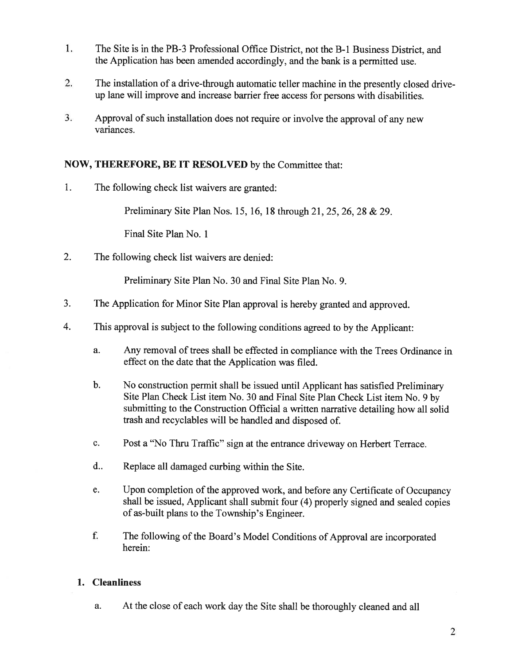- 1. The Site is in the PB-3 Professional Office District, not the B-i Business District, and the Application has been amended accordingly, and the bank is <sup>a</sup> permitted use.
- 2. The installation of <sup>a</sup> drive-through automatic teller machine in the presently closed driveup lane will improve and increase barrier free access for persons with disabilities.
- 3. Approval of such installation does not require or involve the approva<sup>l</sup> of any new variances.

# NOW, THEREFORE, BE IT RESOLVED by the Committee that:

1. The following check list waivers are granted:

Preliminary Site Plan Nos. 15, 16, 18 through 21, 25,26,28 & 29.

Final Site Plan No. 1

2. The following check list waivers are denied:

Preliminary Site Plan No. 30 and Final Site Plan No. 9.

- 3. The Application for Minor Site Plan approva<sup>l</sup> is hereby granted and approved.
- 4. This approva<sup>l</sup> is subject to the following conditions agree<sup>d</sup> to by the Applicant:
	- a. Any removal of trees shall be effected in compliance with the Trees Ordinance in effect on the date that the Application was filed.
	- b. No construction permit shall be issued until Applicant has satisfied Preliminary Site Plan Check List item No. <sup>30</sup> and Final Site Plan Check List item No. <sup>9</sup> by submitting to the Construction Official <sup>a</sup> written narrative detailing how all solid trash and recyclables will be handled and disposed of.
	- c. Post <sup>a</sup> "No Thru Traffic" sign at the entrance driveway on Herbert Terrace.
	- d.. Replace all damaged curbing within the Site.
	- e. Upon completion of the approve<sup>d</sup> work, and before any Certificate of Occupancy shall be issued, Applicant shall submit four (4) properly signed and sealed copies of as-built <sup>p</sup>lans to the Township's Engineer.
	- f. The following of the Board's Model Conditions of Approval are incorporated herein:

## 1. Cleanliness

a. At the close of each work day the Site shall be thoroughly cleaned and all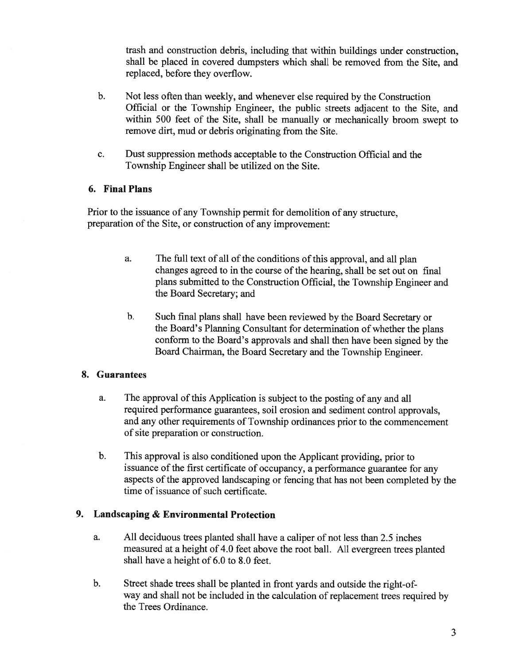trash and construction debris, including that within buildings under construction, shall be placed in covered dumpsters which shall be removed from the Site, and replaced, before they overflow.

- b. Not less often than weekly, and whenever else required by the Construction Official or the Township Engineer, the public streets adjacent to the Site, and within 500 feet of the Site, shall be manually or mechanically broom swep<sup>t</sup> to remove dirt, mud or debris originating from the Site.
- c. Dust suppression methods acceptable to the Construction Official and the Township Engineer shall be utilized on the Site.

### 6. Final Plans

Prior to the issuance of any Township permit for demolition of any structure, preparation of the Site, or construction of any improvement:

- a. The full text of all of the conditions ofthis approval, and all <sup>p</sup>lan changes agreed to in the course of the hearing, shall be set out on final <sup>p</sup>lans submitted to the Construction Official, the Township Engineer and the Board Secretary; and
- b. Such final <sup>p</sup>lans shall have been reviewed by the Board Secretary or the Board's Planning Consultant for determination of whether the <sup>p</sup>lans conform to the Board's approvals and shall then have been signed by the Board Chairman, the Board Secretary and the Township Engineer.

## 8. Guarantees

- a. The approval of this Application is subject to the posting of any and all required performance guarantees, soil erosion and sediment control approvals, and any other requirements of Township ordinances prior to the commencement of site preparation or construction.
- b. This approva<sup>l</sup> is also conditioned upon the Applicant providing, prior to issuance of the first certificate of occupancy, <sup>a</sup> performance guarantee for any aspects of the approved landscaping or fencing that has not been completed by the time of issuance of such certificate.

## 9. Landscaping & Environmental Protection

- a. All deciduous trees <sup>p</sup>lanted shall have <sup>a</sup> caliper of not less than 2.5 inches measured at <sup>a</sup> height of 4.0 feet above the root ball. All evergreen trees <sup>p</sup>lanted shall have <sup>a</sup> height of 6.0 to 8.0 feet.
- b. Street shade trees shall be <sup>p</sup>lanted in front yards and outside the right-of way and shall not be included in the calculation of replacement trees required by the Trees Ordinance.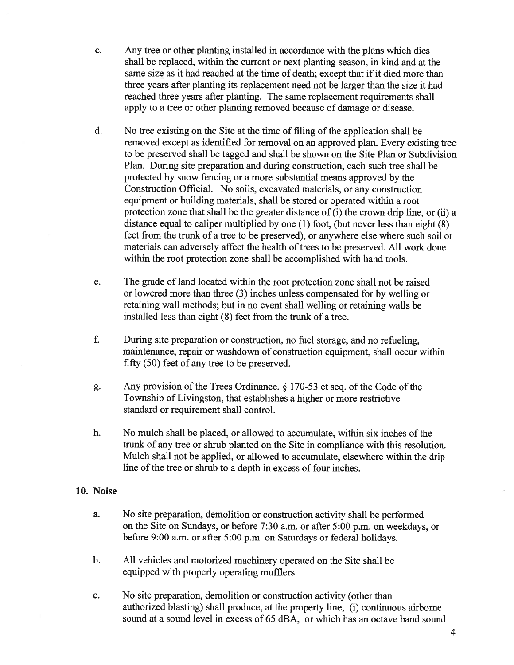- c. Any tree or other planting installed in accordance with the plans which dies shall be replaced, within the current or next planting season, in kind and at the same size as it had reached at the time of death; excep<sup>t</sup> that if it died more than three years after planting its replacement need not be larger than the size it had reached three years after planting. The same replacement requirements shall apply to <sup>a</sup> tree or other planting removed because of damage or disease.
- d. No tree existing on the Site at the time of filing of the application shall be removed excep<sup>t</sup> as identified for removal on an approved <sup>p</sup>lan. Every existing tree to be preserved shall be tagged and shall be shown on the Site Plan or Subdivision Plan. During site preparation and during construction, each such tree shall be protected by snow fencing or <sup>a</sup> more substantial means approved by the Construction Official. No soils, excavated materials, or any construction equipment or building materials, shall be stored or operated within <sup>a</sup> root protection zone that shall be the greater distance of (i) the crown drip line, or (ii) <sup>a</sup> distance equa<sup>l</sup> to caliper multiplied by one (1) foot, (but never less than eight (8) feet from the trunk of <sup>a</sup> tree to be preserved), or anywhere else where such soil or materials can adversely affect the health of trees to be preserved. All work done within the root protection zone shall be accomplished with hand tools.
- e. The grade of land located within the root protection zone shall not be raised or lowered more than three (3) inches unless compensated for by welling or retaining wall methods; but in no event shall welling or retaining walls be installed less than eight (8) feet from the trunk of <sup>a</sup> tree.
- f. During site preparation or construction, no fuel storage, and no refueling, maintenance, repair or washdown of construction equipment, shall occur within fifty (50) feet of any tree to be preserved.
- g. Any provision of the Trees Ordinance,  $\S 170-53$  et seq. of the Code of the Township of Livingston, that establishes <sup>a</sup> higher or more restrictive standard or requirement shall control.
- h. No mulch shall be placed, or allowed to accumulate, within six inches of the trunk of any tree or shrub planted on the Site in compliance with this resolution. Mulch shall not be applied, or allowed to accumulate, elsewhere within the drip line of the tree or shrub to <sup>a</sup> depth in excess of four inches.

#### 10. Noise

- a. No site preparation, demolition or construction activity shall be performed on the Site on Sundays, or before 7:30 a.m. or after 5:00 p.m. on weekdays, or before 9:00 a.m. or after 5:00 p.m. on Saturdays or federal holidays.
- b. All vehicles and motorized machinery operated on the Site shall be equipped with properly operating mufflers.
- c. No site preparation, demolition or construction activity (other than authorized blasting) shall produce, at the property line, (i) continuous airborne sound at <sup>a</sup> sound level in excess of 65 dBA, or which has an octave band sound